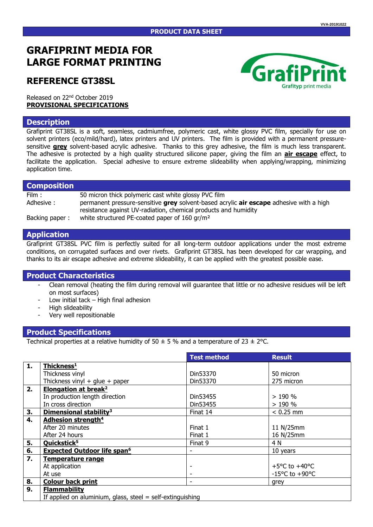#### **PRODUCT DATA SHEET**

# **GRAFIPRINT MEDIA FOR LARGE FORMAT PRINTING**

## **REFERENCE GT38SL**

Released on 22nd October 2019 **PROVISIONAL SPECIFICATIONS**

#### **Description**

Grafiprint GT38SL is a soft, seamless, cadmiumfree, polymeric cast, white glossy PVC film, specially for use on solvent printers (eco/mild/hard), latex printers and UV printers. The film is provided with a permanent pressuresensitive **grey** solvent-based acrylic adhesive. Thanks to this grey adhesive, the film is much less transparent. The adhesive is protected by a high quality structured silicone paper, giving the film an **air escape** effect, to facilitate the application. Special adhesive to ensure extreme slideability when applying/wrapping, minimizing application time.

### **Composition**

| Film:          | 50 micron thick polymeric cast white glossy PVC film                                    |
|----------------|-----------------------------------------------------------------------------------------|
| Adhesive:      | permanent pressure-sensitive grey solvent-based acrylic air escape adhesive with a high |
|                | resistance against UV-radiation, chemical products and humidity                         |
| Backing paper: | white structured PE-coated paper of 160 gr/m <sup>2</sup>                               |

#### **Application**

Grafiprint GT38SL PVC film is perfectly suited for all long-term outdoor applications under the most extreme conditions, on corrugated surfaces and over rivets. Grafiprint GT38SL has been developed for car wrapping, and thanks to its air escape adhesive and extreme slideability, it can be applied with the greatest possible ease.

### **Product Characteristics**

- Clean removal (heating the film during removal will guarantee that little or no adhesive residues will be left on most surfaces)
- Low initial tack  $-$  High final adhesion
- High slideability
- Very well repositionable

### **Product Specifications**

Technical properties at a relative humidity of 50  $\pm$  5 % and a temperature of 23  $\pm$  2°C.

|    |                                                              | <b>Test method</b> | <b>Result</b>                      |  |
|----|--------------------------------------------------------------|--------------------|------------------------------------|--|
| 1. | Thickness <sup>1</sup>                                       |                    |                                    |  |
|    | Thickness vinyl                                              | Din53370           | 50 micron                          |  |
|    | Thickness vinyl $+$ glue $+$ paper                           | Din53370           | 275 micron                         |  |
| 2. | Elongation at break <sup>2</sup>                             |                    |                                    |  |
|    | In production length direction                               | Din53455           | >190%                              |  |
|    | In cross direction                                           | Din53455           | >190%                              |  |
| 3. | Dimensional stability <sup>3</sup>                           | Finat 14           | $< 0.25$ mm                        |  |
| 4. | <b>Adhesion strength<sup>4</sup></b>                         |                    |                                    |  |
|    | After 20 minutes                                             | Finat 1            | 11 N/25mm                          |  |
|    | After 24 hours                                               | Finat 1            | 16 N/25mm                          |  |
| 5. | Quickstick <sup>5</sup>                                      | Finat 9            | 4 N                                |  |
| 6. | <b>Expected Outdoor life span<sup>6</sup></b>                |                    | 10 years                           |  |
| 7. | <b>Temperature range</b>                                     |                    |                                    |  |
|    | At application                                               |                    | +5 $\degree$ C to +40 $\degree$ C  |  |
|    | At use                                                       |                    | $-15^{\circ}$ C to $+90^{\circ}$ C |  |
| 8. | <b>Colour back print</b>                                     | ۰                  | grey                               |  |
| 9. | <b>Flammability</b>                                          |                    |                                    |  |
|    | If applied on aluminium, glass, steel $=$ self-extinguishing |                    |                                    |  |